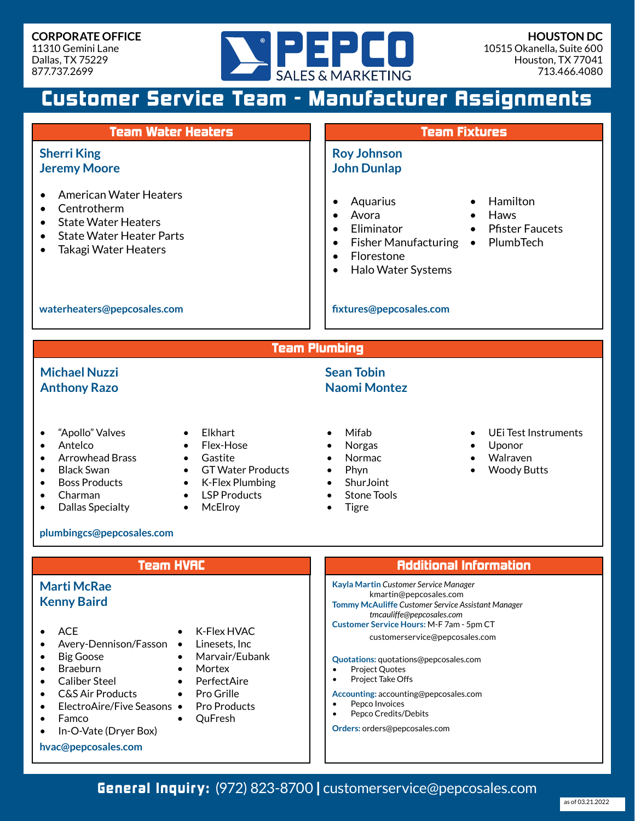

# Customer Service Team - Manufacturer Assignments

| <b>Team Water Heaters</b>                                                                                                                                                                                                                                                                                                                                                                       | <b>Team Fixtures</b>                                                                                                                                                                                                                                                                                                           |
|-------------------------------------------------------------------------------------------------------------------------------------------------------------------------------------------------------------------------------------------------------------------------------------------------------------------------------------------------------------------------------------------------|--------------------------------------------------------------------------------------------------------------------------------------------------------------------------------------------------------------------------------------------------------------------------------------------------------------------------------|
| <b>Sherri King</b><br><b>Jeremy Moore</b>                                                                                                                                                                                                                                                                                                                                                       | <b>Roy Johnson</b><br><b>John Dunlap</b>                                                                                                                                                                                                                                                                                       |
| <b>American Water Heaters</b><br>Centrotherm<br>$\bullet$<br><b>State Water Heaters</b><br><b>State Water Heater Parts</b><br>$\bullet$<br><b>Takagi Water Heaters</b><br>$\bullet$                                                                                                                                                                                                             | Hamilton<br>Aquarius<br>Avora<br>Haws<br>$\bullet$<br>$\bullet$<br>Eliminator<br><b>Pfister Faucets</b><br>$\bullet$<br>PlumbTech<br>Fisher Manufacturing $\bullet$<br>$\bullet$<br>Florestone<br>$\bullet$<br>Halo Water Systems<br>$\bullet$                                                                                 |
| waterheaters@pepcosales.com                                                                                                                                                                                                                                                                                                                                                                     | fixtures@pepcosales.com                                                                                                                                                                                                                                                                                                        |
| <b>Team Plumbing</b>                                                                                                                                                                                                                                                                                                                                                                            |                                                                                                                                                                                                                                                                                                                                |
| <b>Michael Nuzzi</b><br><b>Anthony Razo</b>                                                                                                                                                                                                                                                                                                                                                     | <b>Sean Tobin</b><br><b>Naomi Montez</b>                                                                                                                                                                                                                                                                                       |
| "Apollo" Valves<br>Elkhart<br>$\bullet$<br>Antelco<br>Flex-Hose<br>$\bullet$<br>$\bullet$<br><b>Arrowhead Brass</b><br>Gastite<br>$\bullet$<br>$\bullet$<br><b>Black Swan</b><br><b>GT Water Products</b><br>$\bullet$<br>$\bullet$<br><b>Boss Products</b><br>• K-Flex Plumbing<br>$\bullet$<br>Charman<br><b>LSP Products</b><br>$\bullet$<br><b>Dallas Specialty</b><br>McElroy<br>$\bullet$ | Mifab<br>UEi Test Instruments<br>Norgas<br>Uponor<br>Walraven<br>Normac<br>Phyn<br><b>Woody Butts</b><br>ShurJoint<br><b>Stone Tools</b><br><b>Tigre</b>                                                                                                                                                                       |
| plumbingcs@pepcosales.com                                                                                                                                                                                                                                                                                                                                                                       |                                                                                                                                                                                                                                                                                                                                |
| <b>Team HVAC</b>                                                                                                                                                                                                                                                                                                                                                                                | <b>Additional Information</b>                                                                                                                                                                                                                                                                                                  |
| <b>Marti McRae</b><br><b>Kenny Baird</b><br><b>ACE</b><br>K-Flex HVAC<br>Linesets, Inc<br>Avery-Dennison/Fasson<br><b>Big Goose</b><br>Marvair/Eubank<br><b>Braeburn</b><br>Mortex<br><b>Caliber Steel</b><br>PerfectAire                                                                                                                                                                       | Kayla Martin Customer Service Manager<br>kmartin@pepcosales.com<br><b>Tommy McAuliffe Customer Service Assistant Manager</b><br>tmcauliffe@pepcosales.com<br>Customer Service Hours: M-F 7am - 5pm CT<br>customerservice@pepcosales.com<br>Quotations: quotations@pepcosales.com<br><b>Project Quotes</b><br>Project Take Offs |

- Caliber Steel
- C&S Air Products
- ElectroAire/Five Seasons •
- Famco
- In-O-Vate (Dryer Box)
- **hvac@pepcosales.com**

• Pro Grille

• QuFresh

Pro Products

- Project Take Offs
- **Accounting:** accounting@pepcosales.com
- Pepco Invoices
- Pepco Credits/Debits

**Orders:** orders@pepcosales.com

General Inquiry: (972) 823-8700 | customerservice@pepcosales.com

as of 03.21.2022